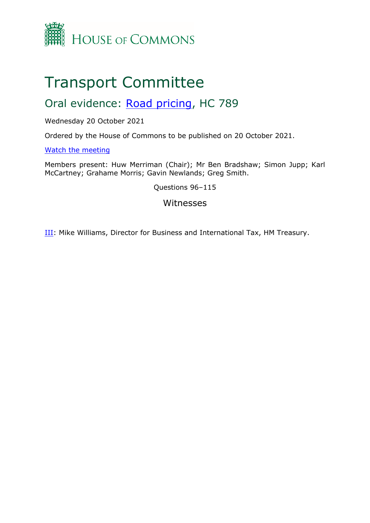

# Transport Committee

# Oral evidence: [Road](https://committees.parliament.uk/work/1549/road-pricing/) [pricing,](https://committees.parliament.uk/work/1549/road-pricing/) HC 789

#### Wednesday 20 October 2021

Ordered by the House of Commons to be published on 20 October 2021.

#### [Watch](https://parliamentlive.tv/event/index/86868b5f-effe-40d5-9ac7-2d74a7237fe0?in=11:36:12) [the](https://parliamentlive.tv/event/index/86868b5f-effe-40d5-9ac7-2d74a7237fe0?in=11:36:12) [meeting](https://parliamentlive.tv/event/index/86868b5f-effe-40d5-9ac7-2d74a7237fe0?in=11:36:12)

Members present: Huw Merriman (Chair); Mr Ben Bradshaw; Simon Jupp; Karl McCartney; Grahame Morris; Gavin Newlands; Greg Smith.

Questions 96–115

### Witnesses

III: Mike Williams, Director for Business and International Tax, HM Treasury.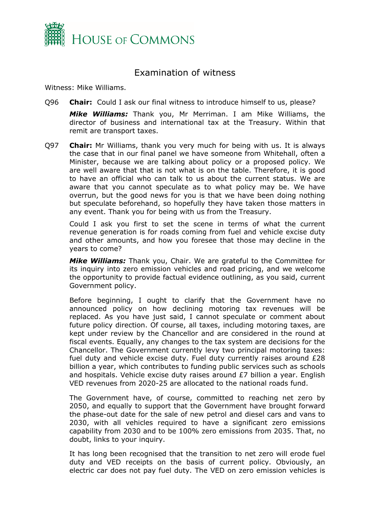

## Examination of witness

Witness: Mike Williams.

Q96 **Chair:** Could I ask our final witness to introduce himself to us, please?

*Mike Williams:* Thank you, Mr Merriman. I am Mike Williams, the director of business and international tax at the Treasury. Within that remit are transport taxes.

Q97 **Chair:** Mr Williams, thank you very much for being with us. It is always the case that in our final panel we have someone from Whitehall, often a Minister, because we are talking about policy or a proposed policy. We are well aware that that is not what is on the table. Therefore, it is good to have an official who can talk to us about the current status. We are aware that you cannot speculate as to what policy may be. We have overrun, but the good news for you is that we have been doing nothing but speculate beforehand, so hopefully they have taken those matters in any event. Thank you for being with us from the Treasury.

Could I ask you first to set the scene in terms of what the current revenue generation is for roads coming from fuel and vehicle excise duty and other amounts, and how you foresee that those may decline in the years to come?

*Mike Williams:* Thank you, Chair. We are grateful to the Committee for its inquiry into zero emission vehicles and road pricing, and we welcome the opportunity to provide factual evidence outlining, as you said, current Government policy.

Before beginning, I ought to clarify that the Government have no announced policy on how declining motoring tax revenues will be replaced. As you have just said, I cannot speculate or comment about future policy direction. Of course, all taxes, including motoring taxes, are kept under review by the Chancellor and are considered in the round at fiscal events. Equally, any changes to the tax system are decisions for the Chancellor. The Government currently levy two principal motoring taxes: fuel duty and vehicle excise duty. Fuel duty currently raises around £28 billion a year, which contributes to funding public services such as schools and hospitals. Vehicle excise duty raises around £7 billion a year. English VED revenues from 2020-25 are allocated to the national roads fund.

The Government have, of course, committed to reaching net zero by 2050, and equally to support that the Government have brought forward the phase-out date for the sale of new petrol and diesel cars and vans to 2030, with all vehicles required to have a significant zero emissions capability from 2030 and to be 100% zero emissions from 2035. That, no doubt, links to your inquiry.

It has long been recognised that the transition to net zero will erode fuel duty and VED receipts on the basis of current policy. Obviously, an electric car does not pay fuel duty. The VED on zero emission vehicles is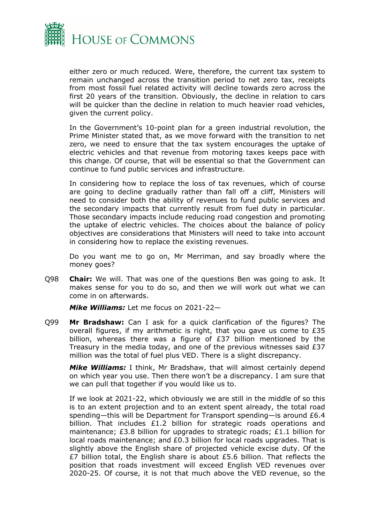

either zero or much reduced. Were, therefore, the current tax system to remain unchanged across the transition period to net zero tax, receipts from most fossil fuel related activity will decline towards zero across the first 20 years of the transition. Obviously, the decline in relation to cars will be quicker than the decline in relation to much heavier road vehicles, given the current policy.

In the Government's 10-point plan for a green industrial revolution, the Prime Minister stated that, as we move forward with the transition to net zero, we need to ensure that the tax system encourages the uptake of electric vehicles and that revenue from motoring taxes keeps pace with this change. Of course, that will be essential so that the Government can continue to fund public services and infrastructure.

In considering how to replace the loss of tax revenues, which of course are going to decline gradually rather than fall off a cliff, Ministers will need to consider both the ability of revenues to fund public services and the secondary impacts that currently result from fuel duty in particular. Those secondary impacts include reducing road congestion and promoting the uptake of electric vehicles. The choices about the balance of policy objectives are considerations that Ministers will need to take into account in considering how to replace the existing revenues.

Do you want me to go on, Mr Merriman, and say broadly where the money goes?

Q98 **Chair:** We will. That was one of the questions Ben was going to ask. It makes sense for you to do so, and then we will work out what we can come in on afterwards.

*Mike Williams:* Let me focus on 2021-22—

Q99 **Mr Bradshaw:** Can I ask for a quick clarification of the figures? The overall figures, if my arithmetic is right, that you gave us come to £35 billion, whereas there was a figure of £37 billion mentioned by the Treasury in the media today, and one of the previous witnesses said £37 million was the total of fuel plus VED. There is a slight discrepancy.

*Mike Williams:* I think, Mr Bradshaw, that will almost certainly depend on which year you use. Then there won't be a discrepancy. I am sure that we can pull that together if you would like us to.

If we look at 2021-22, which obviously we are still in the middle of so this is to an extent projection and to an extent spent already, the total road spending—this will be Department for Transport spending—is around £6.4 billion. That includes £1.2 billion for strategic roads operations and maintenance; £3.8 billion for upgrades to strategic roads; £1.1 billion for local roads maintenance; and £0.3 billion for local roads upgrades. That is slightly above the English share of projected vehicle excise duty. Of the £7 billion total, the English share is about £5.6 billion. That reflects the position that roads investment will exceed English VED revenues over 2020-25. Of course, it is not that much above the VED revenue, so the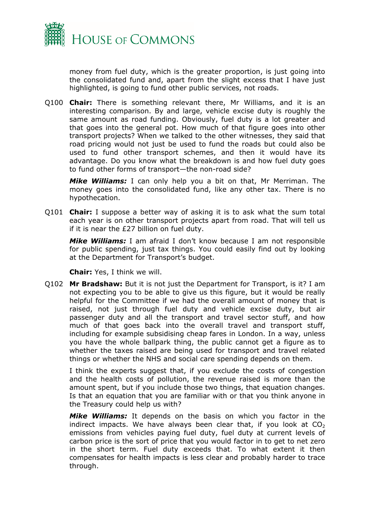

money from fuel duty, which is the greater proportion, is just going into the consolidated fund and, apart from the slight excess that I have just highlighted, is going to fund other public services, not roads.

Q100 **Chair:** There is something relevant there, Mr Williams, and it is an interesting comparison. By and large, vehicle excise duty is roughly the same amount as road funding. Obviously, fuel duty is a lot greater and that goes into the general pot. How much of that figure goes into other transport projects? When we talked to the other witnesses, they said that road pricing would not just be used to fund the roads but could also be used to fund other transport schemes, and then it would have its advantage. Do you know what the breakdown is and how fuel duty goes to fund other forms of transport—the non-road side?

*Mike Williams:* I can only help you a bit on that, Mr Merriman. The money goes into the consolidated fund, like any other tax. There is no hypothecation.

Q101 **Chair:** I suppose a better way of asking it is to ask what the sum total each year is on other transport projects apart from road. That will tell us if it is near the £27 billion on fuel duty.

*Mike Williams:* I am afraid I don't know because I am not responsible for public spending, just tax things. You could easily find out by looking at the Department for Transport's budget.

**Chair:** Yes, I think we will.

Q102 **Mr Bradshaw:** But it is not just the Department for Transport, is it? I am not expecting you to be able to give us this figure, but it would be really helpful for the Committee if we had the overall amount of money that is raised, not just through fuel duty and vehicle excise duty, but air passenger duty and all the transport and travel sector stuff, and how much of that goes back into the overall travel and transport stuff, including for example subsidising cheap fares in London. In a way, unless you have the whole ballpark thing, the public cannot get a figure as to whether the taxes raised are being used for transport and travel related things or whether the NHS and social care spending depends on them.

I think the experts suggest that, if you exclude the costs of congestion and the health costs of pollution, the revenue raised is more than the amount spent, but if you include those two things, that equation changes. Is that an equation that you are familiar with or that you think anyone in the Treasury could help us with?

*Mike Williams:* It depends on the basis on which you factor in the indirect impacts. We have always been clear that, if you look at  $CO<sub>2</sub>$ emissions from vehicles paying fuel duty, fuel duty at current levels of carbon price is the sort of price that you would factor in to get to net zero in the short term. Fuel duty exceeds that. To what extent it then compensates for health impacts is less clear and probably harder to trace through.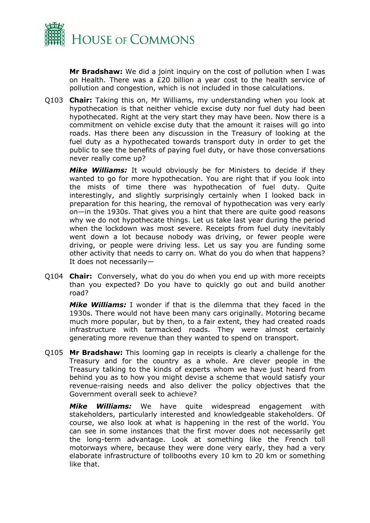

**Mr Bradshaw:** We did a joint inquiry on the cost of pollution when I was on Health. There was a £20 billion a year cost to the health service of pollution and congestion, which is not included in those calculations.

Q103 **Chair:** Taking this on, Mr Williams, my understanding when you look at hypothecation is that neither vehicle excise duty nor fuel duty had been hypothecated. Right at the very start they may have been. Now there is a commitment on vehicle excise duty that the amount it raises will go into roads. Has there been any discussion in the Treasury of looking at the fuel duty as a hypothecated towards transport duty in order to get the public to see the benefits of paying fuel duty, or have those conversations never really come up?

*Mike Williams:* It would obviously be for Ministers to decide if they wanted to go for more hypothecation. You are right that if you look into the mists of time there was hypothecation of fuel duty. Quite interestingly, and slightly surprisingly certainly when I looked back in preparation for this hearing, the removal of hypothecation was very early on—in the 1930s. That gives you a hint that there are quite good reasons why we do not hypothecate things. Let us take last year during the period when the lockdown was most severe. Receipts from fuel duty inevitably went down a lot because nobody was driving, or fewer people were driving, or people were driving less. Let us say you are funding some other activity that needs to carry on. What do you do when that happens? It does not necessarily—

Q104 **Chair:** Conversely, what do you do when you end up with more receipts than you expected? Do you have to quickly go out and build another road?

*Mike Williams:* I wonder if that is the dilemma that they faced in the 1930s. There would not have been many cars originally. Motoring became much more popular, but by then, to a fair extent, they had created roads infrastructure with tarmacked roads. They were almost certainly generating more revenue than they wanted to spend on transport.

Q105 **Mr Bradshaw:** This looming gap in receipts is clearly a challenge for the Treasury and for the country as a whole. Are clever people in the Treasury talking to the kinds of experts whom we have just heard from behind you as to how you might devise a scheme that would satisfy your revenue-raising needs and also deliver the policy objectives that the Government overall seek to achieve?

*Mike Williams:* We have quite widespread engagement with stakeholders, particularly interested and knowledgeable stakeholders. Of course, we also look at what is happening in the rest of the world. You can see in some instances that the first mover does not necessarily get the long-term advantage. Look at something like the French toll motorways where, because they were done very early, they had a very elaborate infrastructure of tollbooths every 10 km to 20 km or something like that.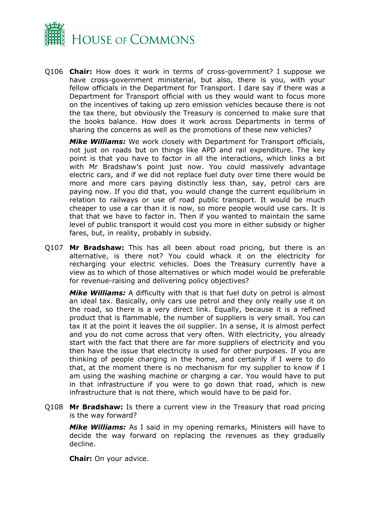

Q106 **Chair:** How does it work in terms of cross-government? I suppose we have cross-government ministerial, but also, there is you, with your fellow officials in the Department for Transport. I dare say if there was a Department for Transport official with us they would want to focus more on the incentives of taking up zero emission vehicles because there is not the tax there, but obviously the Treasury is concerned to make sure that the books balance. How does it work across Departments in terms of sharing the concerns as well as the promotions of these new vehicles?

*Mike Williams:* We work closely with Department for Transport officials, not just on roads but on things like APD and rail expenditure. The key point is that you have to factor in all the interactions, which links a bit with Mr Bradshaw's point just now. You could massively advantage electric cars, and if we did not replace fuel duty over time there would be more and more cars paying distinctly less than, say, petrol cars are paying now. If you did that, you would change the current equilibrium in relation to railways or use of road public transport. It would be much cheaper to use a car than it is now, so more people would use cars. It is that that we have to factor in. Then if you wanted to maintain the same level of public transport it would cost you more in either subsidy or higher fares, but, in reality, probably in subsidy.

Q107 **Mr Bradshaw:** This has all been about road pricing, but there is an alternative, is there not? You could whack it on the electricity for recharging your electric vehicles. Does the Treasury currently have a view as to which of those alternatives or which model would be preferable for revenue-raising and delivering policy objectives?

*Mike Williams:* A difficulty with that is that fuel duty on petrol is almost an ideal tax. Basically, only cars use petrol and they only really use it on the road, so there is a very direct link. Equally, because it is a refined product that is flammable, the number of suppliers is very small. You can tax it at the point it leaves the oil supplier. In a sense, it is almost perfect and you do not come across that very often. With electricity, you already start with the fact that there are far more suppliers of electricity and you then have the issue that electricity is used for other purposes. If you are thinking of people charging in the home, and certainly if I were to do that, at the moment there is no mechanism for my supplier to know if I am using the washing machine or charging a car. You would have to put in that infrastructure if you were to go down that road, which is new infrastructure that is not there, which would have to be paid for.

Q108 **Mr Bradshaw:** Is there a current view in the Treasury that road pricing is the way forward?

*Mike Williams:* As I said in my opening remarks, Ministers will have to decide the way forward on replacing the revenues as they gradually decline.

**Chair:** On your advice.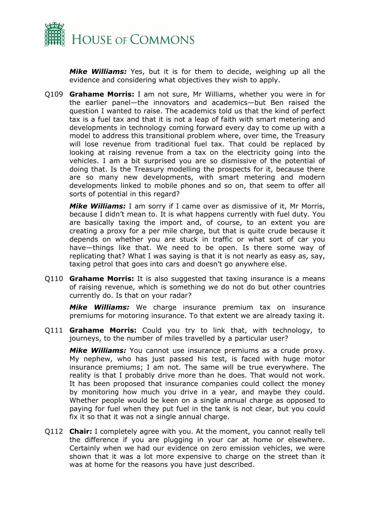

*Mike Williams:* Yes, but it is for them to decide, weighing up all the evidence and considering what objectives they wish to apply.

Q109 **Grahame Morris:** I am not sure, Mr Williams, whether you were in for the earlier panel—the innovators and academics—but Ben raised the question I wanted to raise. The academics told us that the kind of perfect tax is a fuel tax and that it is not a leap of faith with smart metering and developments in technology coming forward every day to come up with a model to address this transitional problem where, over time, the Treasury will lose revenue from traditional fuel tax. That could be replaced by looking at raising revenue from a tax on the electricity going into the vehicles. I am a bit surprised you are so dismissive of the potential of doing that. Is the Treasury modelling the prospects for it, because there are so many new developments, with smart metering and modern developments linked to mobile phones and so on, that seem to offer all sorts of potential in this regard?

*Mike Williams:* I am sorry if I came over as dismissive of it, Mr Morris, because I didn't mean to. It is what happens currently with fuel duty. You are basically taxing the import and, of course, to an extent you are creating a proxy for a per mile charge, but that is quite crude because it depends on whether you are stuck in traffic or what sort of car you have—things like that. We need to be open. Is there some way of replicating that? What I was saying is that it is not nearly as easy as, say, taxing petrol that goes into cars and doesn't go anywhere else.

Q110 **Grahame Morris:** It is also suggested that taxing insurance is a means of raising revenue, which is something we do not do but other countries currently do. Is that on your radar?

*Mike Williams:* We charge insurance premium tax on insurance premiums for motoring insurance. To that extent we are already taxing it.

Q111 **Grahame Morris:** Could you try to link that, with technology, to journeys, to the number of miles travelled by a particular user?

*Mike Williams:* You cannot use insurance premiums as a crude proxy. My nephew, who has just passed his test, is faced with huge motor insurance premiums; I am not. The same will be true everywhere. The reality is that I probably drive more than he does. That would not work. It has been proposed that insurance companies could collect the money by monitoring how much you drive in a year, and maybe they could. Whether people would be keen on a single annual charge as opposed to paying for fuel when they put fuel in the tank is not clear, but you could fix it so that it was not a single annual charge.

Q112 **Chair:** I completely agree with you. At the moment, you cannot really tell the difference if you are plugging in your car at home or elsewhere. Certainly when we had our evidence on zero emission vehicles, we were shown that it was a lot more expensive to charge on the street than it was at home for the reasons you have just described.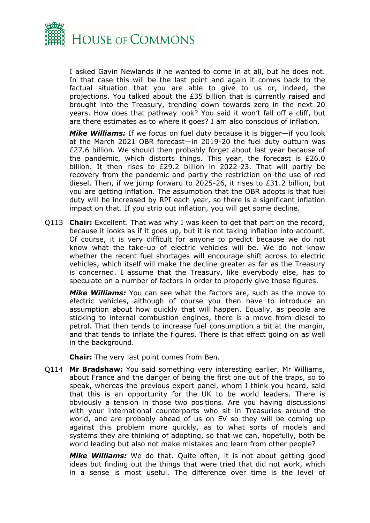

I asked Gavin Newlands if he wanted to come in at all, but he does not. In that case this will be the last point and again it comes back to the factual situation that you are able to give to us or, indeed, the projections. You talked about the £35 billion that is currently raised and brought into the Treasury, trending down towards zero in the next 20 years. How does that pathway look? You said it won't fall off a cliff, but are there estimates as to where it goes? I am also conscious of inflation.

*Mike Williams:* If we focus on fuel duty because it is bigger—if you look at the March 2021 OBR forecast—in 2019-20 the fuel duty outturn was £27.6 billion. We should then probably forget about last year because of the pandemic, which distorts things. This year, the forecast is £26.0 billion. It then rises to £29.2 billion in 2022-23. That will partly be recovery from the pandemic and partly the restriction on the use of red diesel. Then, if we jump forward to 2025-26, it rises to £31.2 billion, but you are getting inflation. The assumption that the OBR adopts is that fuel duty will be increased by RPI each year, so there is a significant inflation impact on that. If you strip out inflation, you will get some decline.

Q113 **Chair:** Excellent. That was why I was keen to get that part on the record, because it looks as if it goes up, but it is not taking inflation into account. Of course, it is very difficult for anyone to predict because we do not know what the take-up of electric vehicles will be. We do not know whether the recent fuel shortages will encourage shift across to electric vehicles, which itself will make the decline greater as far as the Treasury is concerned. I assume that the Treasury, like everybody else, has to speculate on a number of factors in order to properly give those figures.

*Mike Williams:* You can see what the factors are, such as the move to electric vehicles, although of course you then have to introduce an assumption about how quickly that will happen. Equally, as people are sticking to internal combustion engines, there is a move from diesel to petrol. That then tends to increase fuel consumption a bit at the margin, and that tends to inflate the figures. There is that effect going on as well in the background.

**Chair:** The very last point comes from Ben.

Q114 **Mr Bradshaw:** You said something very interesting earlier, Mr Williams, about France and the danger of being the first one out of the traps, so to speak, whereas the previous expert panel, whom I think you heard, said that this is an opportunity for the UK to be world leaders. There is obviously a tension in those two positions. Are you having discussions with your international counterparts who sit in Treasuries around the world, and are probably ahead of us on EV so they will be coming up against this problem more quickly, as to what sorts of models and systems they are thinking of adopting, so that we can, hopefully, both be world leading but also not make mistakes and learn from other people?

*Mike Williams:* We do that. Quite often, it is not about getting good ideas but finding out the things that were tried that did not work, which in a sense is most useful. The difference over time is the level of